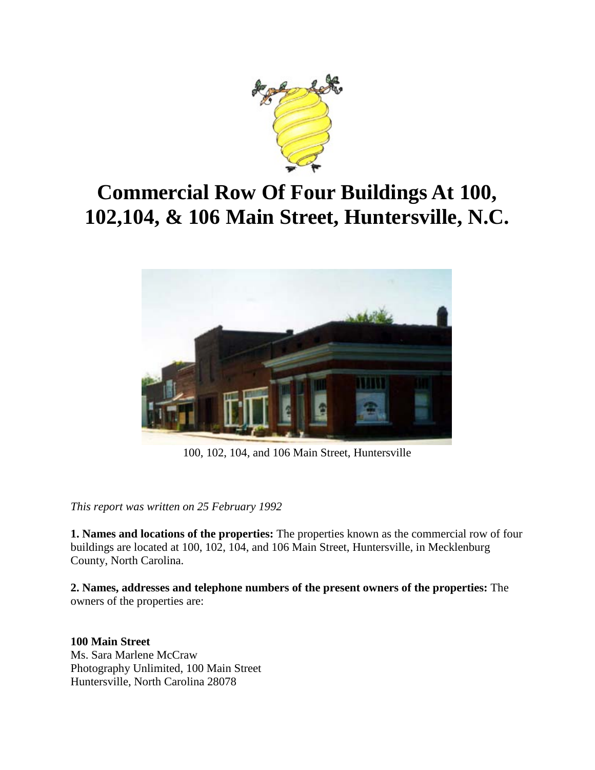

# **Commercial Row Of Four Buildings At 100, 102,104, & 106 Main Street, Huntersville, N.C.**



100, 102, 104, and 106 Main Street, Huntersville

*This report was written on 25 February 1992*

**1. Names and locations of the properties:** The properties known as the commercial row of four buildings are located at 100, 102, 104, and 106 Main Street, Huntersville, in Mecklenburg County, North Carolina.

**2. Names, addresses and telephone numbers of the present owners of the properties:** The owners of the properties are:

**100 Main Street** Ms. Sara Marlene McCraw Photography Unlimited, 100 Main Street Huntersville, North Carolina 28078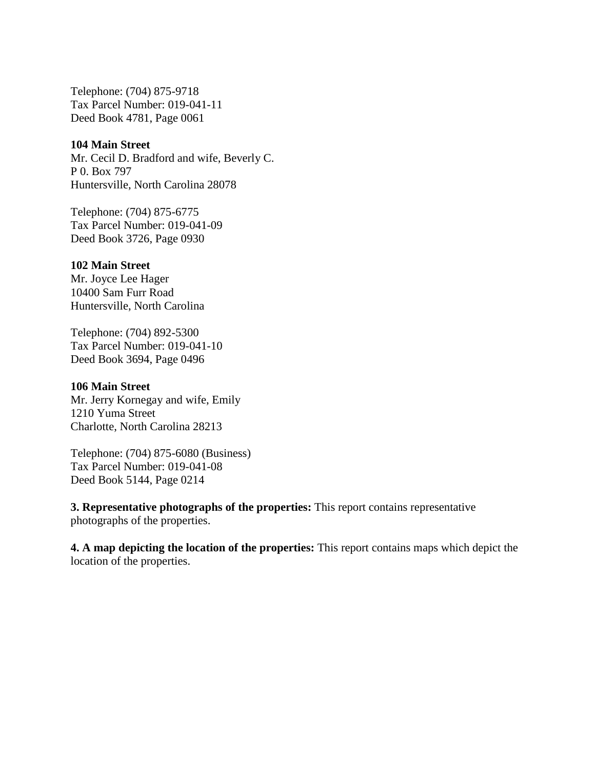Telephone: (704) 875-9718 Tax Parcel Number: 019-041-11 Deed Book 4781, Page 0061

### **104 Main Street**

Mr. Cecil D. Bradford and wife, Beverly C. P 0. Box 797 Huntersville, North Carolina 28078

Telephone: (704) 875-6775 Tax Parcel Number: 019-041-09 Deed Book 3726, Page 0930

#### **102 Main Street**

Mr. Joyce Lee Hager 10400 Sam Furr Road Huntersville, North Carolina

Telephone: (704) 892-5300 Tax Parcel Number: 019-041-10 Deed Book 3694, Page 0496

### **106 Main Street**

Mr. Jerry Kornegay and wife, Emily 1210 Yuma Street Charlotte, North Carolina 28213

Telephone: (704) 875-6080 (Business) Tax Parcel Number: 019-041-08 Deed Book 5144, Page 0214

**3. Representative photographs of the properties:** This report contains representative photographs of the properties.

**4. A map depicting the location of the properties:** This report contains maps which depict the location of the properties.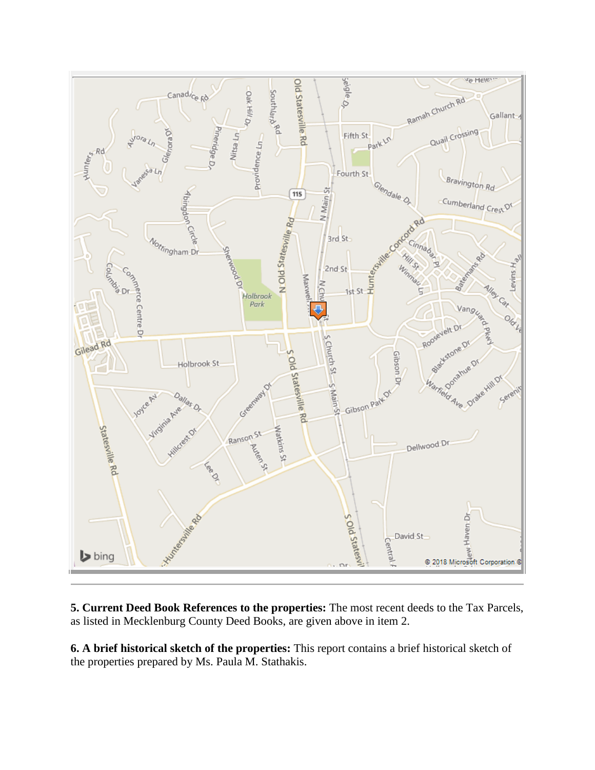

**5. Current Deed Book References to the properties:** The most recent deeds to the Tax Parcels, as listed in Mecklenburg County Deed Books, are given above in item 2.

**6. A brief historical sketch of the properties:** This report contains a brief historical sketch of the properties prepared by Ms. Paula M. Stathakis.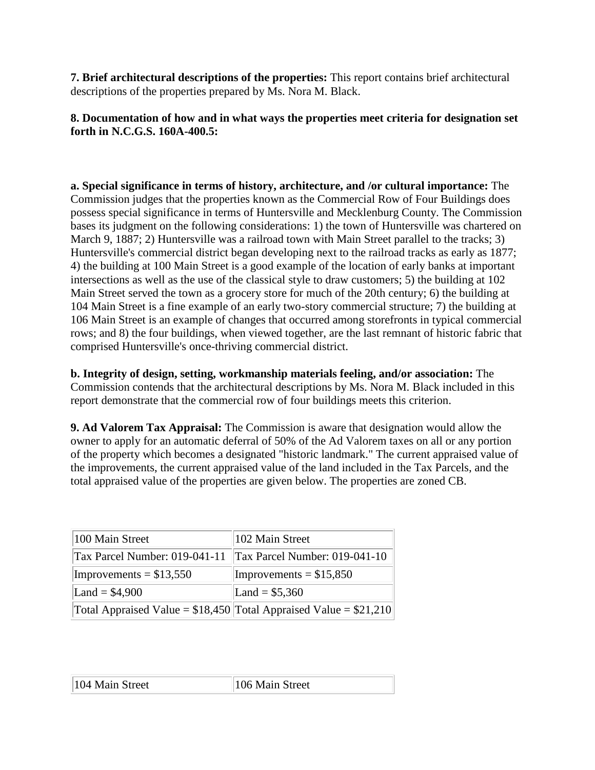**7. Brief architectural descriptions of the properties:** This report contains brief architectural descriptions of the properties prepared by Ms. Nora M. Black.

### **8. Documentation of how and in what ways the properties meet criteria for designation set forth in N.C.G.S. 160A-400.5:**

**a. Special significance in terms of history, architecture, and /or cultural importance:** The Commission judges that the properties known as the Commercial Row of Four Buildings does possess special significance in terms of Huntersville and Mecklenburg County. The Commission bases its judgment on the following considerations: 1) the town of Huntersville was chartered on March 9, 1887; 2) Huntersville was a railroad town with Main Street parallel to the tracks; 3) Huntersville's commercial district began developing next to the railroad tracks as early as 1877; 4) the building at 100 Main Street is a good example of the location of early banks at important intersections as well as the use of the classical style to draw customers; 5) the building at 102 Main Street served the town as a grocery store for much of the 20th century; 6) the building at 104 Main Street is a fine example of an early two-story commercial structure; 7) the building at 106 Main Street is an example of changes that occurred among storefronts in typical commercial rows; and 8) the four buildings, when viewed together, are the last remnant of historic fabric that comprised Huntersville's once-thriving commercial district.

**b. Integrity of design, setting, workmanship materials feeling, and/or association:** The Commission contends that the architectural descriptions by Ms. Nora M. Black included in this report demonstrate that the commercial row of four buildings meets this criterion.

**9. Ad Valorem Tax Appraisal:** The Commission is aware that designation would allow the owner to apply for an automatic deferral of 50% of the Ad Valorem taxes on all or any portion of the property which becomes a designated "historic landmark." The current appraised value of the improvements, the current appraised value of the land included in the Tax Parcels, and the total appraised value of the properties are given below. The properties are zoned CB.

| 100 Main Street               | 102 Main Street                                                     |
|-------------------------------|---------------------------------------------------------------------|
| Tax Parcel Number: 019-041-11 | $\text{Tax Parel Number: } 019-041-10$                              |
| Improvements = $$13,550$      | Improvements = $$15,850$                                            |
| Land = $$4,900$               | Land = $$5,360$                                                     |
|                               | Total Appraised Value = $$18,450$ Total Appraised Value = $$21,210$ |

| 104 Main Street | 106 Main Street |
|-----------------|-----------------|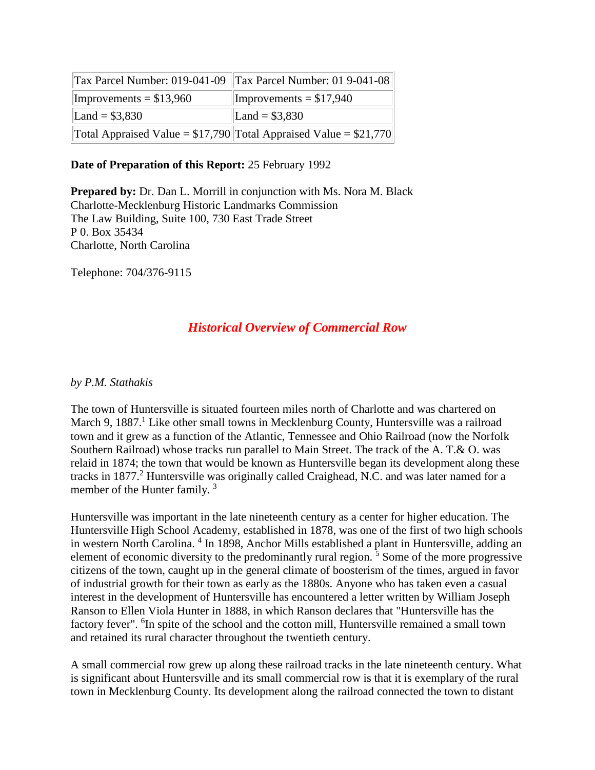|                          | Tax Parcel Number: 019-041-09 Tax Parcel Number: 01 9-041-08        |
|--------------------------|---------------------------------------------------------------------|
| Improvements = $$13,960$ | Improvements = $$17,940$                                            |
| Land = $$3,830$          | Land = $$3,830$                                                     |
|                          | Total Appraised Value = $$17,790$ Total Appraised Value = $$21,770$ |

### **Date of Preparation of this Report:** 25 February 1992

**Prepared by:** Dr. Dan L. Morrill in conjunction with Ms. Nora M. Black Charlotte-Mecklenburg Historic Landmarks Commission The Law Building, Suite 100, 730 East Trade Street P 0. Box 35434 Charlotte, North Carolina

Telephone: 704/376-9115

### *Historical Overview of Commercial Row*

### *by P.M. Stathakis*

The town of Huntersville is situated fourteen miles north of Charlotte and was chartered on March 9, 1887.<sup>1</sup> Like other small towns in Mecklenburg County, Huntersville was a railroad town and it grew as a function of the Atlantic, Tennessee and Ohio Railroad (now the Norfolk Southern Railroad) whose tracks run parallel to Main Street. The track of the A. T.& O. was relaid in 1874; the town that would be known as Huntersville began its development along these tracks in 1877.<sup>2</sup> Huntersville was originally called Craighead, N.C. and was later named for a member of the Hunter family.<sup>3</sup>

Huntersville was important in the late nineteenth century as a center for higher education. The Huntersville High School Academy, established in 1878, was one of the first of two high schools in western North Carolina. <sup>4</sup> In 1898, Anchor Mills established a plant in Huntersville, adding an element of economic diversity to the predominantly rural region.<sup>5</sup> Some of the more progressive citizens of the town, caught up in the general climate of boosterism of the times, argued in favor of industrial growth for their town as early as the 1880s. Anyone who has taken even a casual interest in the development of Huntersville has encountered a letter written by William Joseph Ranson to Ellen Viola Hunter in 1888, in which Ranson declares that "Huntersville has the factory fever". <sup>6</sup>In spite of the school and the cotton mill, Huntersville remained a small town and retained its rural character throughout the twentieth century.

A small commercial row grew up along these railroad tracks in the late nineteenth century. What is significant about Huntersville and its small commercial row is that it is exemplary of the rural town in Mecklenburg County. Its development along the railroad connected the town to distant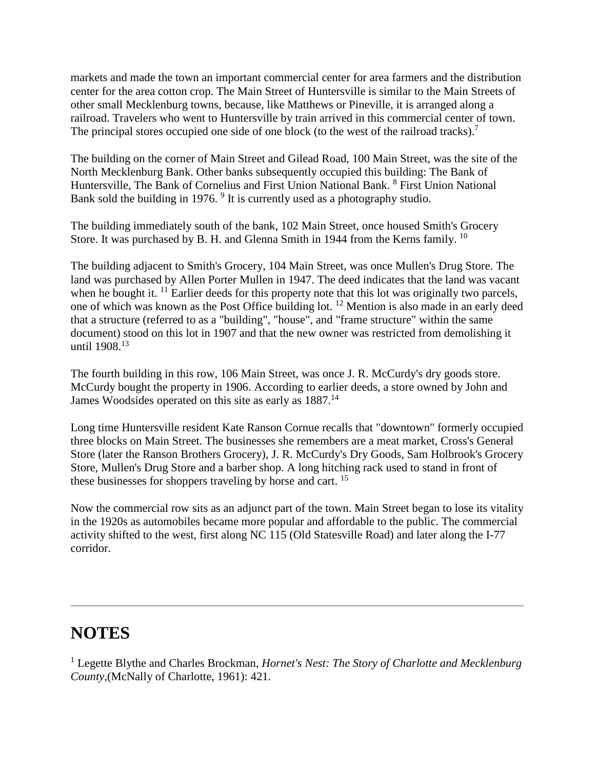markets and made the town an important commercial center for area farmers and the distribution center for the area cotton crop. The Main Street of Huntersville is similar to the Main Streets of other small Mecklenburg towns, because, like Matthews or Pineville, it is arranged along a railroad. Travelers who went to Huntersville by train arrived in this commercial center of town. The principal stores occupied one side of one block (to the west of the railroad tracks).<sup>7</sup>

The building on the corner of Main Street and Gilead Road, 100 Main Street, was the site of the North Mecklenburg Bank. Other banks subsequently occupied this building: The Bank of Huntersville, The Bank of Cornelius and First Union National Bank. <sup>8</sup> First Union National Bank sold the building in 1976. <sup>9</sup> It is currently used as a photography studio.

The building immediately south of the bank, 102 Main Street, once housed Smith's Grocery Store. It was purchased by B. H. and Glenna Smith in 1944 from the Kerns family. <sup>10</sup>

The building adjacent to Smith's Grocery, 104 Main Street, was once Mullen's Drug Store. The land was purchased by Allen Porter Mullen in 1947. The deed indicates that the land was vacant when he bought it.  $^{11}$  Earlier deeds for this property note that this lot was originally two parcels, one of which was known as the Post Office building lot. <sup>12</sup> Mention is also made in an early deed that a structure (referred to as a "building", "house", and "frame structure" within the same document) stood on this lot in 1907 and that the new owner was restricted from demolishing it until 1908.<sup>13</sup>

The fourth building in this row, 106 Main Street, was once J. R. McCurdy's dry goods store. McCurdy bought the property in 1906. According to earlier deeds, a store owned by John and James Woodsides operated on this site as early as  $1887$ <sup>14</sup>

Long time Huntersville resident Kate Ranson Cornue recalls that "downtown" formerly occupied three blocks on Main Street. The businesses she remembers are a meat market, Cross's General Store (later the Ranson Brothers Grocery), J. R. McCurdy's Dry Goods, Sam Holbrook's Grocery Store, Mullen's Drug Store and a barber shop. A long hitching rack used to stand in front of these businesses for shoppers traveling by horse and cart. <sup>15</sup>

Now the commercial row sits as an adjunct part of the town. Main Street began to lose its vitality in the 1920s as automobiles became more popular and affordable to the public. The commercial activity shifted to the west, first along NC 115 (Old Statesville Road) and later along the I-77 corridor.

## **NOTES**

<sup>1</sup> Legette Blythe and Charles Brockman, *Hornet's Nest: The Story of Charlotte and Mecklenburg County*,(McNally of Charlotte, 1961): 421.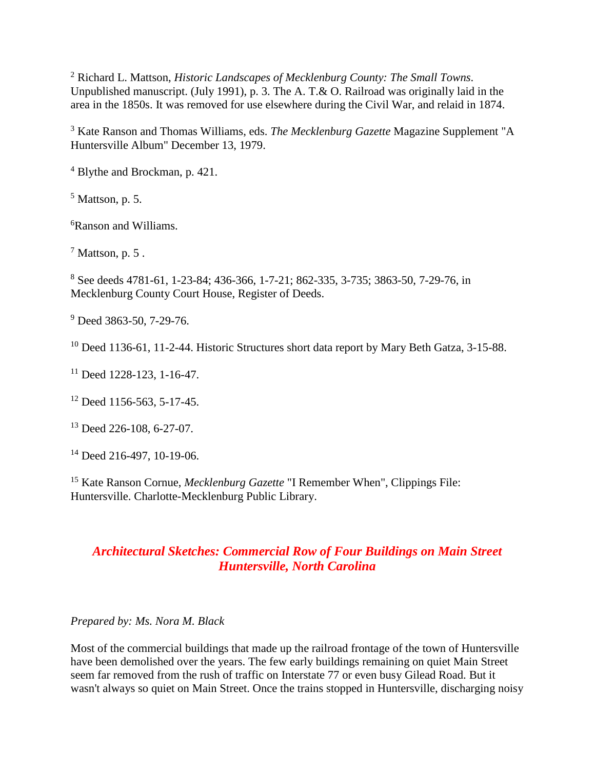<sup>2</sup> Richard L. Mattson, *Historic Landscapes of Mecklenburg County: The Small Towns*. Unpublished manuscript. (July 1991), p. 3. The A. T.& O. Railroad was originally laid in the area in the 1850s. It was removed for use elsewhere during the Civil War, and relaid in 1874.

<sup>3</sup> Kate Ranson and Thomas Williams, eds. *The Mecklenburg Gazette* Magazine Supplement "A Huntersville Album" December 13, 1979.

<sup>4</sup> Blythe and Brockman, p. 421.

 $<sup>5</sup>$  Mattson, p. 5.</sup>

6 Ranson and Williams.

 $<sup>7</sup>$  Mattson, p. 5.</sup>

<sup>8</sup> See deeds 4781-61, 1-23-84; 436-366, 1-7-21; 862-335, 3-735; 3863-50, 7-29-76, in Mecklenburg County Court House, Register of Deeds.

<sup>9</sup> Deed 3863-50, 7-29-76.

<sup>10</sup> Deed 1136-61, 11-2-44. Historic Structures short data report by Mary Beth Gatza, 3-15-88.

<sup>11</sup> Deed 1228-123, 1-16-47.

<sup>12</sup> Deed 1156-563, 5-17-45.

<sup>13</sup> Deed 226-108, 6-27-07.

<sup>14</sup> Deed 216-497, 10-19-06.

<sup>15</sup> Kate Ranson Cornue, *Mecklenburg Gazette* "I Remember When", Clippings File: Huntersville. Charlotte-Mecklenburg Public Library.

### *Architectural Sketches: Commercial Row of Four Buildings on Main Street Huntersville, North Carolina*

### *Prepared by: Ms. Nora M. Black*

Most of the commercial buildings that made up the railroad frontage of the town of Huntersville have been demolished over the years. The few early buildings remaining on quiet Main Street seem far removed from the rush of traffic on Interstate 77 or even busy Gilead Road. But it wasn't always so quiet on Main Street. Once the trains stopped in Huntersville, discharging noisy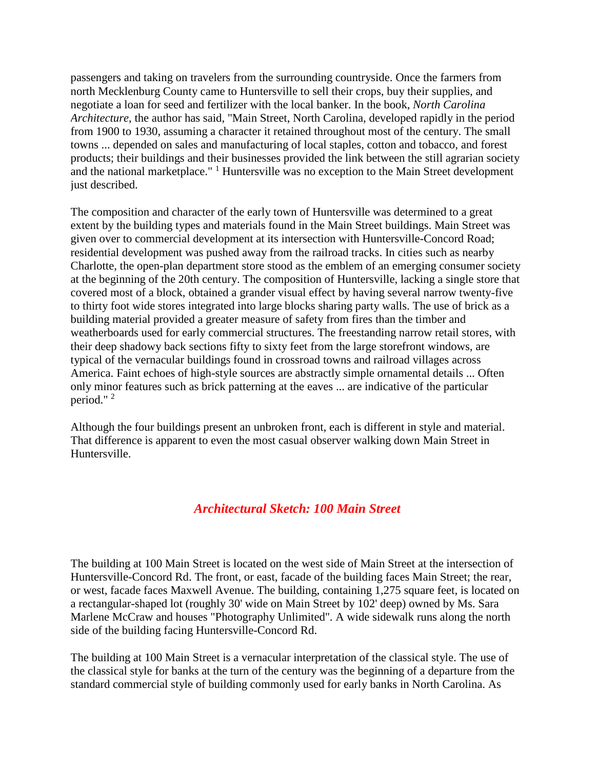passengers and taking on travelers from the surrounding countryside. Once the farmers from north Mecklenburg County came to Huntersville to sell their crops, buy their supplies, and negotiate a loan for seed and fertilizer with the local banker. In the book, *North Carolina Architecture*, the author has said, "Main Street, North Carolina, developed rapidly in the period from 1900 to 1930, assuming a character it retained throughout most of the century. The small towns ... depended on sales and manufacturing of local staples, cotton and tobacco, and forest products; their buildings and their businesses provided the link between the still agrarian society and the national marketplace."  $\frac{1}{1}$  Huntersville was no exception to the Main Street development just described.

The composition and character of the early town of Huntersville was determined to a great extent by the building types and materials found in the Main Street buildings. Main Street was given over to commercial development at its intersection with Huntersville-Concord Road; residential development was pushed away from the railroad tracks. In cities such as nearby Charlotte, the open-plan department store stood as the emblem of an emerging consumer society at the beginning of the 20th century. The composition of Huntersville, lacking a single store that covered most of a block, obtained a grander visual effect by having several narrow twenty-five to thirty foot wide stores integrated into large blocks sharing party walls. The use of brick as a building material provided a greater measure of safety from fires than the timber and weatherboards used for early commercial structures. The freestanding narrow retail stores, with their deep shadowy back sections fifty to sixty feet from the large storefront windows, are typical of the vernacular buildings found in crossroad towns and railroad villages across America. Faint echoes of high-style sources are abstractly simple ornamental details ... Often only minor features such as brick patterning at the eaves ... are indicative of the particular period." <sup>2</sup>

Although the four buildings present an unbroken front, each is different in style and material. That difference is apparent to even the most casual observer walking down Main Street in Huntersville.

### *Architectural Sketch: 100 Main Street*

The building at 100 Main Street is located on the west side of Main Street at the intersection of Huntersville-Concord Rd. The front, or east, facade of the building faces Main Street; the rear, or west, facade faces Maxwell Avenue. The building, containing 1,275 square feet, is located on a rectangular-shaped lot (roughly 30' wide on Main Street by 102' deep) owned by Ms. Sara Marlene McCraw and houses "Photography Unlimited". A wide sidewalk runs along the north side of the building facing Huntersville-Concord Rd.

The building at 100 Main Street is a vernacular interpretation of the classical style. The use of the classical style for banks at the turn of the century was the beginning of a departure from the standard commercial style of building commonly used for early banks in North Carolina. As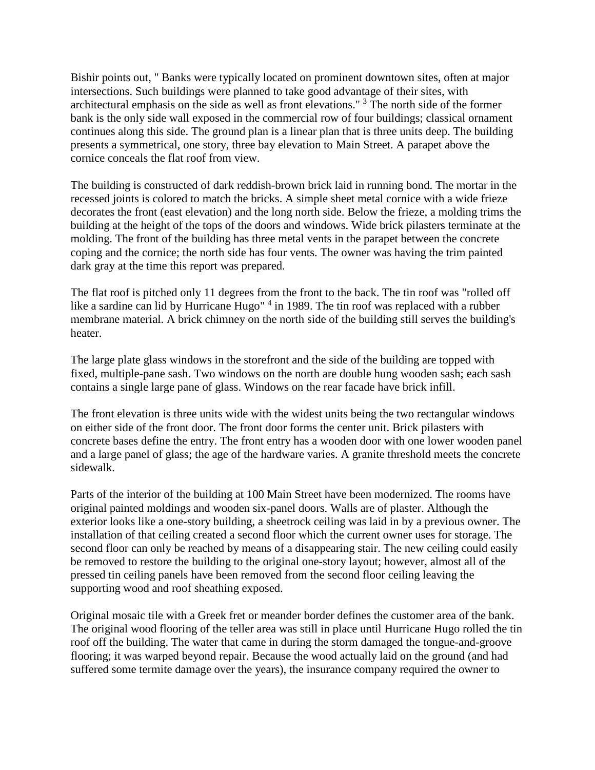Bishir points out, " Banks were typically located on prominent downtown sites, often at major intersections. Such buildings were planned to take good advantage of their sites, with architectural emphasis on the side as well as front elevations." <sup>3</sup> The north side of the former bank is the only side wall exposed in the commercial row of four buildings; classical ornament continues along this side. The ground plan is a linear plan that is three units deep. The building presents a symmetrical, one story, three bay elevation to Main Street. A parapet above the cornice conceals the flat roof from view.

The building is constructed of dark reddish-brown brick laid in running bond. The mortar in the recessed joints is colored to match the bricks. A simple sheet metal cornice with a wide frieze decorates the front (east elevation) and the long north side. Below the frieze, a molding trims the building at the height of the tops of the doors and windows. Wide brick pilasters terminate at the molding. The front of the building has three metal vents in the parapet between the concrete coping and the cornice; the north side has four vents. The owner was having the trim painted dark gray at the time this report was prepared.

The flat roof is pitched only 11 degrees from the front to the back. The tin roof was "rolled off like a sardine can lid by Hurricane Hugo"<sup>4</sup> in 1989. The tin roof was replaced with a rubber membrane material. A brick chimney on the north side of the building still serves the building's heater.

The large plate glass windows in the storefront and the side of the building are topped with fixed, multiple-pane sash. Two windows on the north are double hung wooden sash; each sash contains a single large pane of glass. Windows on the rear facade have brick infill.

The front elevation is three units wide with the widest units being the two rectangular windows on either side of the front door. The front door forms the center unit. Brick pilasters with concrete bases define the entry. The front entry has a wooden door with one lower wooden panel and a large panel of glass; the age of the hardware varies. A granite threshold meets the concrete sidewalk.

Parts of the interior of the building at 100 Main Street have been modernized. The rooms have original painted moldings and wooden six-panel doors. Walls are of plaster. Although the exterior looks like a one-story building, a sheetrock ceiling was laid in by a previous owner. The installation of that ceiling created a second floor which the current owner uses for storage. The second floor can only be reached by means of a disappearing stair. The new ceiling could easily be removed to restore the building to the original one-story layout; however, almost all of the pressed tin ceiling panels have been removed from the second floor ceiling leaving the supporting wood and roof sheathing exposed.

Original mosaic tile with a Greek fret or meander border defines the customer area of the bank. The original wood flooring of the teller area was still in place until Hurricane Hugo rolled the tin roof off the building. The water that came in during the storm damaged the tongue-and-groove flooring; it was warped beyond repair. Because the wood actually laid on the ground (and had suffered some termite damage over the years), the insurance company required the owner to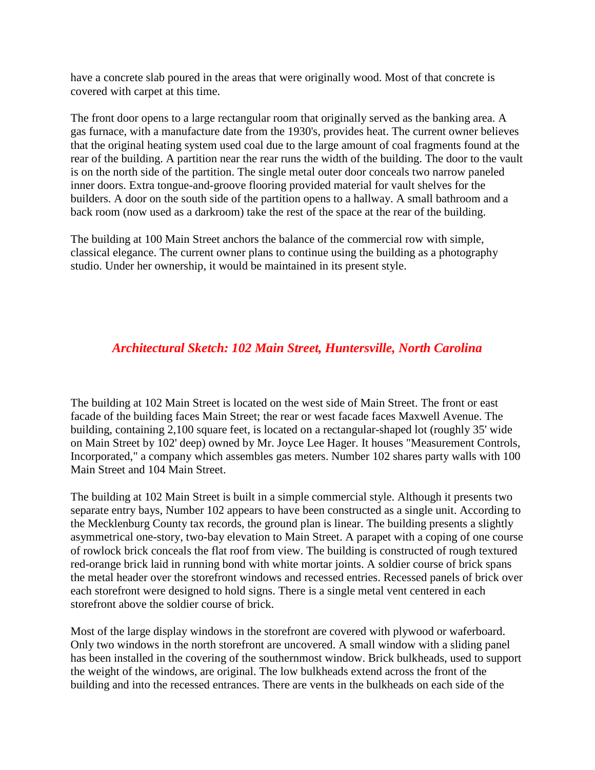have a concrete slab poured in the areas that were originally wood. Most of that concrete is covered with carpet at this time.

The front door opens to a large rectangular room that originally served as the banking area. A gas furnace, with a manufacture date from the 1930's, provides heat. The current owner believes that the original heating system used coal due to the large amount of coal fragments found at the rear of the building. A partition near the rear runs the width of the building. The door to the vault is on the north side of the partition. The single metal outer door conceals two narrow paneled inner doors. Extra tongue-and-groove flooring provided material for vault shelves for the builders. A door on the south side of the partition opens to a hallway. A small bathroom and a back room (now used as a darkroom) take the rest of the space at the rear of the building.

The building at 100 Main Street anchors the balance of the commercial row with simple, classical elegance. The current owner plans to continue using the building as a photography studio. Under her ownership, it would be maintained in its present style.

### *Architectural Sketch: 102 Main Street, Huntersville, North Carolina*

The building at 102 Main Street is located on the west side of Main Street. The front or east facade of the building faces Main Street; the rear or west facade faces Maxwell Avenue. The building, containing 2,100 square feet, is located on a rectangular-shaped lot (roughly 35' wide on Main Street by 102' deep) owned by Mr. Joyce Lee Hager. It houses "Measurement Controls, Incorporated," a company which assembles gas meters. Number 102 shares party walls with 100 Main Street and 104 Main Street.

The building at 102 Main Street is built in a simple commercial style. Although it presents two separate entry bays, Number 102 appears to have been constructed as a single unit. According to the Mecklenburg County tax records, the ground plan is linear. The building presents a slightly asymmetrical one-story, two-bay elevation to Main Street. A parapet with a coping of one course of rowlock brick conceals the flat roof from view. The building is constructed of rough textured red-orange brick laid in running bond with white mortar joints. A soldier course of brick spans the metal header over the storefront windows and recessed entries. Recessed panels of brick over each storefront were designed to hold signs. There is a single metal vent centered in each storefront above the soldier course of brick.

Most of the large display windows in the storefront are covered with plywood or waferboard. Only two windows in the north storefront are uncovered. A small window with a sliding panel has been installed in the covering of the southernmost window. Brick bulkheads, used to support the weight of the windows, are original. The low bulkheads extend across the front of the building and into the recessed entrances. There are vents in the bulkheads on each side of the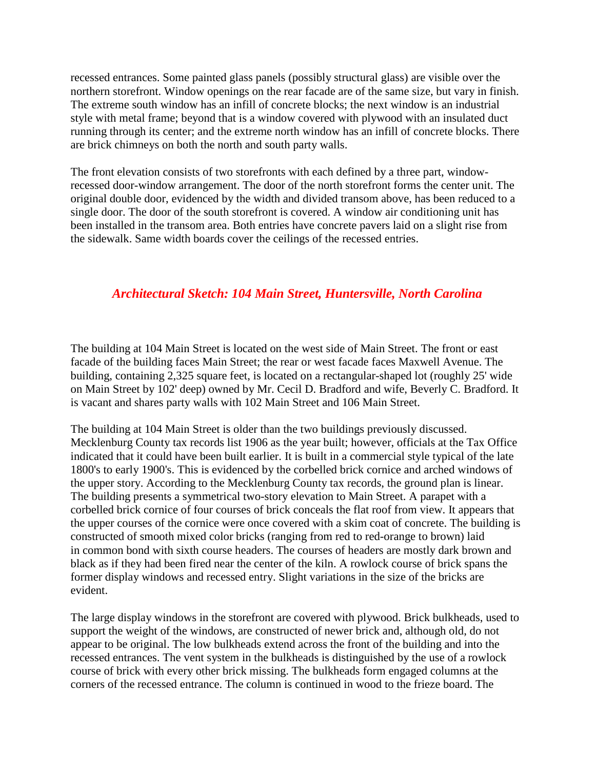recessed entrances. Some painted glass panels (possibly structural glass) are visible over the northern storefront. Window openings on the rear facade are of the same size, but vary in finish. The extreme south window has an infill of concrete blocks; the next window is an industrial style with metal frame; beyond that is a window covered with plywood with an insulated duct running through its center; and the extreme north window has an infill of concrete blocks. There are brick chimneys on both the north and south party walls.

The front elevation consists of two storefronts with each defined by a three part, windowrecessed door-window arrangement. The door of the north storefront forms the center unit. The original double door, evidenced by the width and divided transom above, has been reduced to a single door. The door of the south storefront is covered. A window air conditioning unit has been installed in the transom area. Both entries have concrete pavers laid on a slight rise from the sidewalk. Same width boards cover the ceilings of the recessed entries.

### *Architectural Sketch: 104 Main Street, Huntersville, North Carolina*

The building at 104 Main Street is located on the west side of Main Street. The front or east facade of the building faces Main Street; the rear or west facade faces Maxwell Avenue. The building, containing 2,325 square feet, is located on a rectangular-shaped lot (roughly 25' wide on Main Street by 102' deep) owned by Mr. Cecil D. Bradford and wife, Beverly C. Bradford. It is vacant and shares party walls with 102 Main Street and 106 Main Street.

The building at 104 Main Street is older than the two buildings previously discussed. Mecklenburg County tax records list 1906 as the year built; however, officials at the Tax Office indicated that it could have been built earlier. It is built in a commercial style typical of the late 1800's to early 1900's. This is evidenced by the corbelled brick cornice and arched windows of the upper story. According to the Mecklenburg County tax records, the ground plan is linear. The building presents a symmetrical two-story elevation to Main Street. A parapet with a corbelled brick cornice of four courses of brick conceals the flat roof from view. It appears that the upper courses of the cornice were once covered with a skim coat of concrete. The building is constructed of smooth mixed color bricks (ranging from red to red-orange to brown) laid in common bond with sixth course headers. The courses of headers are mostly dark brown and black as if they had been fired near the center of the kiln. A rowlock course of brick spans the former display windows and recessed entry. Slight variations in the size of the bricks are evident.

The large display windows in the storefront are covered with plywood. Brick bulkheads, used to support the weight of the windows, are constructed of newer brick and, although old, do not appear to be original. The low bulkheads extend across the front of the building and into the recessed entrances. The vent system in the bulkheads is distinguished by the use of a rowlock course of brick with every other brick missing. The bulkheads form engaged columns at the corners of the recessed entrance. The column is continued in wood to the frieze board. The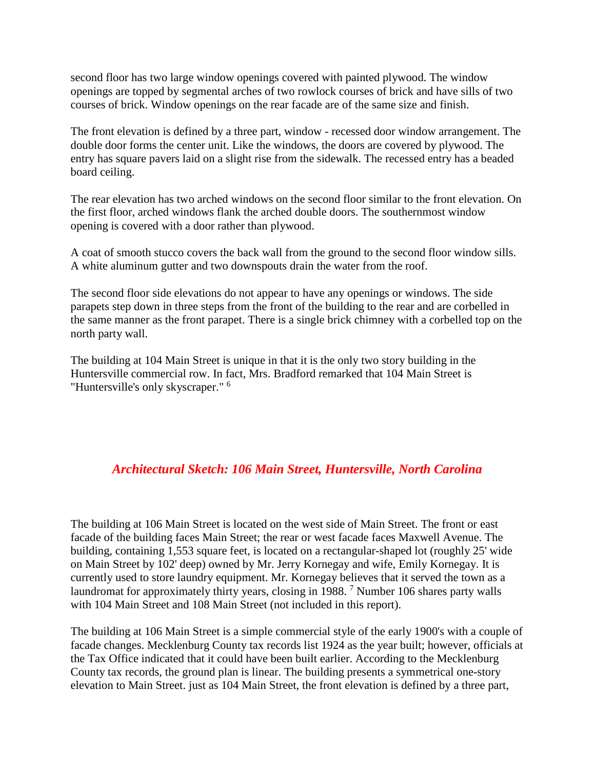second floor has two large window openings covered with painted plywood. The window openings are topped by segmental arches of two rowlock courses of brick and have sills of two courses of brick. Window openings on the rear facade are of the same size and finish.

The front elevation is defined by a three part, window - recessed door window arrangement. The double door forms the center unit. Like the windows, the doors are covered by plywood. The entry has square pavers laid on a slight rise from the sidewalk. The recessed entry has a beaded board ceiling.

The rear elevation has two arched windows on the second floor similar to the front elevation. On the first floor, arched windows flank the arched double doors. The southernmost window opening is covered with a door rather than plywood.

A coat of smooth stucco covers the back wall from the ground to the second floor window sills. A white aluminum gutter and two downspouts drain the water from the roof.

The second floor side elevations do not appear to have any openings or windows. The side parapets step down in three steps from the front of the building to the rear and are corbelled in the same manner as the front parapet. There is a single brick chimney with a corbelled top on the north party wall.

The building at 104 Main Street is unique in that it is the only two story building in the Huntersville commercial row. In fact, Mrs. Bradford remarked that 104 Main Street is "Huntersville's only skyscraper." <sup>6</sup>

### *Architectural Sketch: 106 Main Street, Huntersville, North Carolina*

The building at 106 Main Street is located on the west side of Main Street. The front or east facade of the building faces Main Street; the rear or west facade faces Maxwell Avenue. The building, containing 1,553 square feet, is located on a rectangular-shaped lot (roughly 25' wide on Main Street by 102' deep) owned by Mr. Jerry Kornegay and wife, Emily Kornegay. It is currently used to store laundry equipment. Mr. Kornegay believes that it served the town as a laundromat for approximately thirty years, closing in 1988. <sup>7</sup> Number 106 shares party walls with 104 Main Street and 108 Main Street (not included in this report).

The building at 106 Main Street is a simple commercial style of the early 1900's with a couple of facade changes. Mecklenburg County tax records list 1924 as the year built; however, officials at the Tax Office indicated that it could have been built earlier. According to the Mecklenburg County tax records, the ground plan is linear. The building presents a symmetrical one-story elevation to Main Street. just as 104 Main Street, the front elevation is defined by a three part,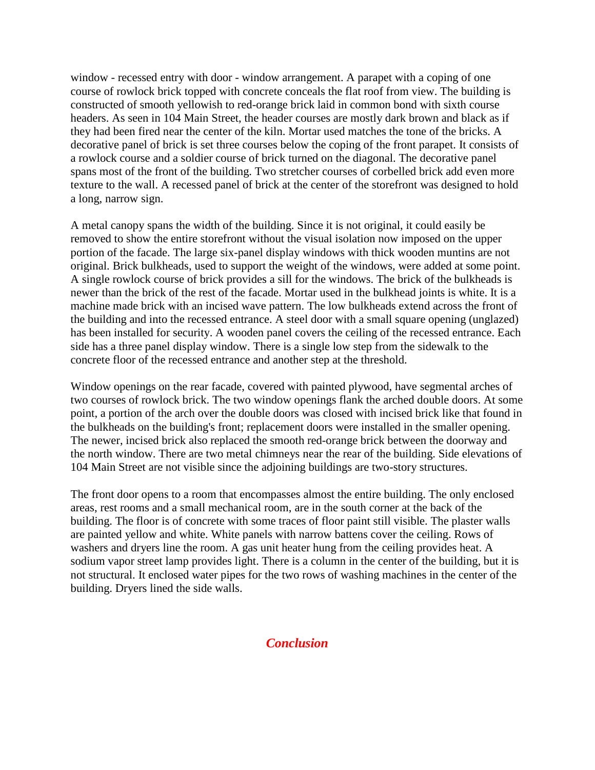window - recessed entry with door - window arrangement. A parapet with a coping of one course of rowlock brick topped with concrete conceals the flat roof from view. The building is constructed of smooth yellowish to red-orange brick laid in common bond with sixth course headers. As seen in 104 Main Street, the header courses are mostly dark brown and black as if they had been fired near the center of the kiln. Mortar used matches the tone of the bricks. A decorative panel of brick is set three courses below the coping of the front parapet. It consists of a rowlock course and a soldier course of brick turned on the diagonal. The decorative panel spans most of the front of the building. Two stretcher courses of corbelled brick add even more texture to the wall. A recessed panel of brick at the center of the storefront was designed to hold a long, narrow sign.

A metal canopy spans the width of the building. Since it is not original, it could easily be removed to show the entire storefront without the visual isolation now imposed on the upper portion of the facade. The large six-panel display windows with thick wooden muntins are not original. Brick bulkheads, used to support the weight of the windows, were added at some point. A single rowlock course of brick provides a sill for the windows. The brick of the bulkheads is newer than the brick of the rest of the facade. Mortar used in the bulkhead joints is white. It is a machine made brick with an incised wave pattern. The low bulkheads extend across the front of the building and into the recessed entrance. A steel door with a small square opening (unglazed) has been installed for security. A wooden panel covers the ceiling of the recessed entrance. Each side has a three panel display window. There is a single low step from the sidewalk to the concrete floor of the recessed entrance and another step at the threshold.

Window openings on the rear facade, covered with painted plywood, have segmental arches of two courses of rowlock brick. The two window openings flank the arched double doors. At some point, a portion of the arch over the double doors was closed with incised brick like that found in the bulkheads on the building's front; replacement doors were installed in the smaller opening. The newer, incised brick also replaced the smooth red-orange brick between the doorway and the north window. There are two metal chimneys near the rear of the building. Side elevations of 104 Main Street are not visible since the adjoining buildings are two-story structures.

The front door opens to a room that encompasses almost the entire building. The only enclosed areas, rest rooms and a small mechanical room, are in the south corner at the back of the building. The floor is of concrete with some traces of floor paint still visible. The plaster walls are painted yellow and white. White panels with narrow battens cover the ceiling. Rows of washers and dryers line the room. A gas unit heater hung from the ceiling provides heat. A sodium vapor street lamp provides light. There is a column in the center of the building, but it is not structural. It enclosed water pipes for the two rows of washing machines in the center of the building. Dryers lined the side walls.

### *Conclusion*